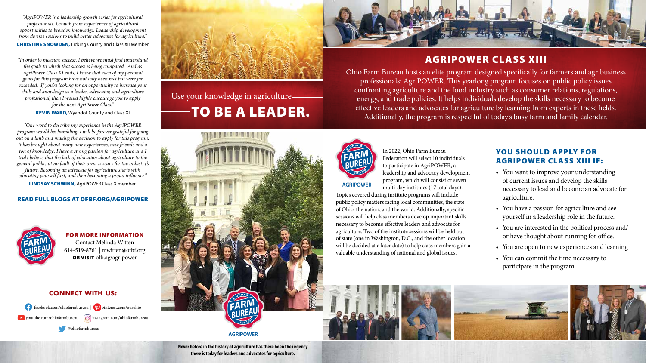Use your knowledge in agriculture TO BE A LEADER.



**Never before in the history of agriculture has there been the urgency there is today for leaders and advocates for agriculture.** 

**AGRIPOWER** 

FOR MORE INFORMATION Contact Melinda Witten 614-519-8761 | mwitten@ofbf.org OR VISIT ofb.ag/agripower

#### **CONNECT WITH US:**

facebook.com/ohiofarmbureau | **p** pinterest.com/ourohio  $\bullet$  youtube.com/ohiofarmbureau  $\circ$  instagram.com/ohiofarmbureau

# AGRIPOWER CLASS XIII

Ohio Farm Bureau hosts an elite program designed specifically for farmers and agribusiness professionals: AgriPOWER. This yearlong program focuses on public policy issues confronting agriculture and the food industry such as consumer relations, regulations, energy, and trade policies. It helps individuals develop the skills necessary to become effective leaders and advocates for agriculture by learning from experts in these fields. Additionally, the program is respectful of today's busy farm and family calendar.



# YOU SHOULD APPLY FOR AGRIPOWER CLASS XIII IF:

In 2022, Ohio Farm Bureau Federation will select 10 individuals to participate in AgriPOWER, a leadership and advocacy development program, which will consist of seven multi-day institutes (17 total days).

**AGRIPOWER** 

*"AgriPOWER is a leadership growth series for agricultural professionals. Growth from experiences of agricultural opportunities to broaden knowledge. Leadership development from diverse sessions to build better advocates for agriculture."*  **CHRISTINE SNOWDEN, Licking County and Class XII Member** 

> Topics covered during institute programs will include public policy matters facing local communities, the state of Ohio, the nation, and the world. Additionally, specific sessions will help class members develop important skills necessary to become effective leaders and advocate for agriculture. Two of the institute sessions will be held out of state (one in Washington, D.C., and the other location will be decided at a later date) to help class members gain a valuable understanding of national and global issues.







• You want to improve your understanding of current issues and develop the skills necessary to lead and become an advocate for agriculture.

• You have a passion for agriculture and see yourself in a leadership role in the future.

• You are interested in the political process and/ or have thought about running for office.

• You are open to new experiences and learning

• You can commit the time necessary to participate in the program.



*"In order to measure success, I believe we must first understand the goals to which that success is being compared. And as AgriPower Class XI ends, I know that each of my personal goals for this program have not only been met but were far exceeded. If you're looking for an opportunity to increase your skills and knowledge as a leader, advocator, and agriculture professional, then I would highly encourage you to apply for the next AgriPower Class."* 

#### **KEVIN WARD, Wyandot County and Class XI**

*"One word to describe my experience in the AgriPOWER program would be: humbling. I will be forever grateful for going out on a limb and making the decision to apply for this program. It has brought about many new experiences, new friends and a ton of knowledge. I have a strong passion for agriculture and I truly believe that the lack of education about agriculture to the general public, at no fault of their own, is scary for the industry's future. Becoming an advocate for agriculture starts with educating yourself first, and then becoming a proud influence."* LINDSAY SCHWINN, AgriPOWER Class X member.

#### READ FULL BLOGS AT OFBF.ORG/AGRIPOWER



@ohiofarmbureau